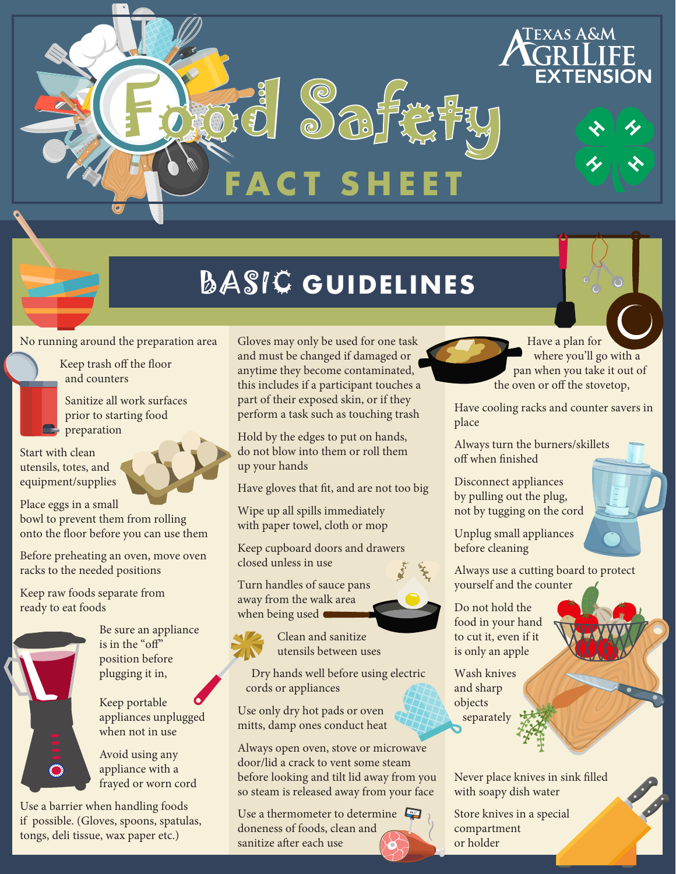## BASIC **GUIDELINES**

**FACT SHEET**

Ford Safety

No running around the preparation area

Keep trash off the floor and counters

 Sanitize all work surfaces prior to starting food **P** preparation

Start with clean utensils, totes, and equipment/supplies

Place eggs in a small bowl to prevent them from rolling onto the floor before you can use them

Before preheating an oven, move oven racks to the needed positions

Keep raw foods separate from ready to eat foods



 Be sure an appliance is in the "off" position before plugging it in,

 Keep portable appliances unplugged when not in use

 Avoid using any appliance with a frayed or worn cord

Use a barrier when handling foods if possible. (Gloves, spoons, spatulas, tongs, deli tissue, wax paper etc.)

Gloves may only be used for one task and must be changed if damaged or anytime they become contaminated, this includes if a participant touches a part of their exposed skin, or if they perform a task such as touching trash

Hold by the edges to put on hands, do not blow into them or roll them up your hands

Have gloves that fit, and are not too big

Wipe up all spills immediately with paper towel, cloth or mop

Keep cupboard doors and drawers closed unless in use

Turn handles of sauce pans away from the walk area when being used  $\blacksquare$ 

> Clean and sanitize utensils between uses

 Dry hands well before using electric cords or appliances

Use only dry hot pads or oven mitts, damp ones conduct heat

Always open oven, stove or microwave door/lid a crack to vent some steam before looking and tilt lid away from you so steam is released away from your face

Use a thermometer to determine doneness of foods, clean and sanitize after each use



 Have a plan for where you'll go with a pan when you take it out of the oven or off the stovetop,

Texas A&M

Have cooling racks and counter savers in place

Always turn the burners/skillets off when finished

Disconnect appliances by pulling out the plug, not by tugging on the cord

Unplug small appliances before cleaning

Always use a cutting board to protect yourself and the counter

Do not hold the food in your hand to cut it, even if it is only an apple

Wash knives and sharp objects separately

Never place knives in sink filled with soapy dish water

Store knives in a special compartment or holder